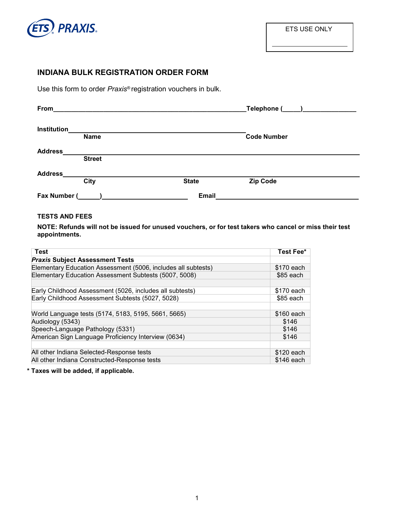

## **INDIANA BULK REGISTRATION ORDER FORM**

Use this form to order *Praxis®* registration vouchers in bulk.

| From               | <u> 1980 - John Stein, Amerikaansk politiker (* 1900)</u> |              | $\begin{tabular}{c} \bf Telephone & \textcolor{red}{\bf \textcolor{blue}{\bf \textcolor{blue}{\bf \textcolor{blue}{\bf \textcolor{blue}{\bf \textcolor{blue}{\bf \textcolor{blue}{\bf \textcolor{blue}{\bf \textcolor{blue}{\bf \textcolor{blue}{\bf \textcolor{blue}{\bf \textcolor{blue}{\bf \textcolor{blue}{\bf \textcolor{blue}{\bf \textcolor{blue}{\bf \textcolor{blue}{\bf \textcolor{blue}{\bf \textcolor{blue}{\bf \textcolor{blue}{\bf \textcolor{blue}{\bf \textcolor{blue}{\bf \textcolor{blue}{\bf \textcolor{blue}{\bf \textcolor{blue}{\bf \textcolor{blue}{\bf \textcolor{blue}{$ |
|--------------------|-----------------------------------------------------------|--------------|----------------------------------------------------------------------------------------------------------------------------------------------------------------------------------------------------------------------------------------------------------------------------------------------------------------------------------------------------------------------------------------------------------------------------------------------------------------------------------------------------------------------------------------------------------------------------------------------------|
| <b>Institution</b> | <b>Name</b>                                               |              | <b>Code Number</b>                                                                                                                                                                                                                                                                                                                                                                                                                                                                                                                                                                                 |
| <b>Address</b>     | <b>Street</b>                                             |              |                                                                                                                                                                                                                                                                                                                                                                                                                                                                                                                                                                                                    |
| <b>Address</b>     | City                                                      | <b>State</b> | <b>Zip Code</b>                                                                                                                                                                                                                                                                                                                                                                                                                                                                                                                                                                                    |
| Fax Number (       |                                                           | <b>Email</b> |                                                                                                                                                                                                                                                                                                                                                                                                                                                                                                                                                                                                    |

## **TESTS AND FEES**

**NOTE: Refunds will not be issued for unused vouchers, or for test takers who cancel or miss their test appointments.**

| <b>Test</b>                                                   | Test Fee*  |  |  |  |
|---------------------------------------------------------------|------------|--|--|--|
| <b>Praxis Subject Assessment Tests</b>                        |            |  |  |  |
| Elementary Education Assessment (5006, includes all subtests) |            |  |  |  |
| Elementary Education Assessment Subtests (5007, 5008)         |            |  |  |  |
|                                                               |            |  |  |  |
| Early Childhood Assessment (5026, includes all subtests)      |            |  |  |  |
| Early Childhood Assessment Subtests (5027, 5028)              |            |  |  |  |
|                                                               |            |  |  |  |
| World Language tests (5174, 5183, 5195, 5661, 5665)           | \$160 each |  |  |  |
| Audiology (5343)                                              |            |  |  |  |
| Speech-Language Pathology (5331)                              |            |  |  |  |
| American Sign Language Proficiency Interview (0634)           |            |  |  |  |
|                                                               |            |  |  |  |
| All other Indiana Selected-Response tests                     |            |  |  |  |
| All other Indiana Constructed-Response tests                  |            |  |  |  |

**\* Taxes will be added, if applicable.**